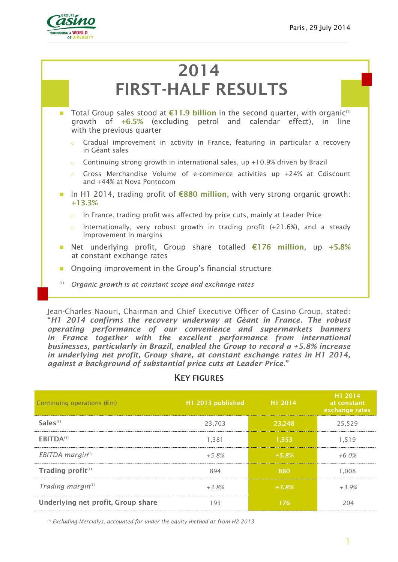

# **2014 FIRST-HALF RESULTS**

- Total Group sales stood at **€11.9 billion** in the second quarter, with organic<sup>(1)</sup> growth of **+6.5%** (excluding petrol and calendar effect), in line with the previous quarter
	- Gradual improvement in activity in France, featuring in particular a recovery in Géant sales
	- Continuing strong growth in international sales, up +10.9% driven by Brazil
	- $\circ$  Gross Merchandise Volume of e-commerce activities up +24% at Cdiscount and +44% at Nova Pontocom
- In H1 2014, trading profit of **€880 million**, with very strong organic growth: **+13.3%**
	- o In France, trading profit was affected by price cuts, mainly at Leader Price
	- Internationally, very robust growth in trading profit  $(+21.6%)$ , and a steady improvement in margins
- Net underlying profit, Group share totalled **€176 million**, up **+5.8%** at constant exchange rates
- **Ongoing improvement in the Group's financial structure**
- *(1) Organic growth is at constant scope and exchange rates*

Jean-Charles Naouri, Chairman and Chief Executive Officer of Casino Group, stated: **"***H1 2014 confirms the recovery underway at Géant in France. The robust operating performance of our convenience and supermarkets banners in France together with the excellent performance from international businesses, particularly in Brazil, enabled the Group to record a +5.8% increase in underlying net profit, Group share, at constant exchange rates in H1 2014, against a background of substantial price cuts at Leader Price.***"**

### **KEY FIGURES**

| Continuing operations $(\epsilon m)$ | H1 2013 published | H <sub>1</sub> 2014 | H <sub>1</sub> 2014<br>at constant<br>exchange rates |
|--------------------------------------|-------------------|---------------------|------------------------------------------------------|
| $Sales^{(1)}$                        | 23,703            | 23,248              | 25,529                                               |
| EBITDA <sup>(1)</sup>                | 1.381             | 1.353               | 1.519                                                |
| $EBITDA$ margin <sup>(1)</sup>       | $+5.8%$           | $+5.8%$             | $+6.0%$                                              |
| Trading profit <sup>(1)</sup>        | 894               | 880                 | 1.008                                                |
| Trading margin $(1)$                 | $+3.8%$           | $+3.8%$             | $+3.9%$                                              |
| Underlying net profit, Group share   | 193               | 176                 | 204                                                  |

*(1) Excluding Mercialys, accounted for under the equity method as from H2 2013*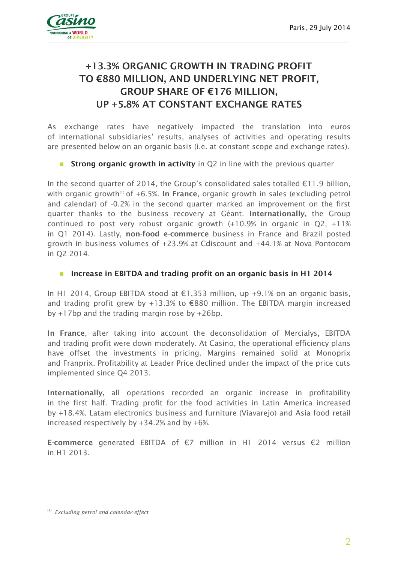

### **+13.3% ORGANIC GROWTH IN TRADING PROFIT TO €880 MILLION, AND UNDERLYING NET PROFIT, GROUP SHARE OF €176 MILLION, UP +5.8% AT CONSTANT EXCHANGE RATES**

As exchange rates have negatively impacted the translation into euros of international subsidiaries' results, analyses of activities and operating results are presented below on an organic basis (i.e. at constant scope and exchange rates).

**Strong organic growth in activity** in Q2 in line with the previous quarter

In the second quarter of 2014, the Group's consolidated sales totalled €11.9 billion, with organic growth<sup>(1)</sup> of +6.5%. In France, organic growth in sales (excluding petrol and calendar) of -0.2% in the second quarter marked an improvement on the first quarter thanks to the business recovery at Géant. **Internationally,** the Group continued to post very robust organic growth (+10.9% in organic in Q2, +11% in Q1 2014). Lastly, **non-food e-commerce** business in France and Brazil posted growth in business volumes of +23.9% at Cdiscount and +44.1% at Nova Pontocom in Q2 2014.

#### **Increase in EBITDA and trading profit on an organic basis in H1 2014**

In H1 2014, Group EBITDA stood at €1,353 million, up +9.1% on an organic basis, and trading profit grew by +13.3% to  $\epsilon$ 880 million. The EBITDA margin increased by +17bp and the trading margin rose by +26bp.

**In France**, after taking into account the deconsolidation of Mercialys, EBITDA and trading profit were down moderately. At Casino, the operational efficiency plans have offset the investments in pricing. Margins remained solid at Monoprix and Franprix. Profitability at Leader Price declined under the impact of the price cuts implemented since Q4 2013.

**Internationally,** all operations recorded an organic increase in profitability in the first half. Trading profit for the food activities in Latin America increased by +18.4%. Latam electronics business and furniture (Viavarejo) and Asia food retail increased respectively by +34.2% and by +6%.

**E-commerce** generated EBITDA of €7 million in H1 2014 versus €2 million in H1 2013.

<sup>(1)</sup> *Excluding petrol and calendar effect*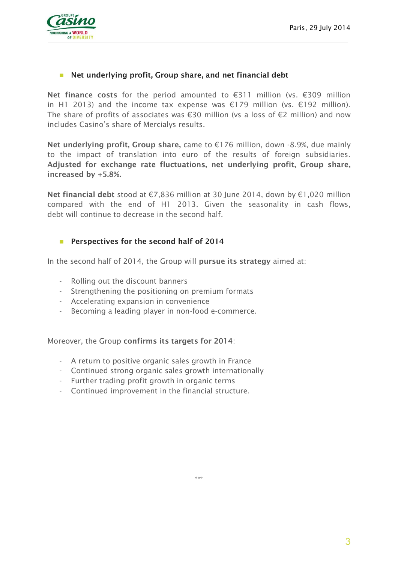

### **Net underlying profit, Group share, and net financial debt**

**Net finance costs** for the period amounted to €311 million (vs. €309 million in H1 2013) and the income tax expense was €179 million (vs. €192 million). The share of profits of associates was €30 million (vs a loss of €2 million) and now includes Casino's share of Mercialys results.

**Net underlying profit, Group share,** came to €176 million, down -8.9%, due mainly to the impact of translation into euro of the results of foreign subsidiaries. **Adjusted for exchange rate fluctuations, net underlying profit, Group share, increased by +5.8%.**

**Net financial debt** stood at €7,836 million at 30 June 2014, down by €1,020 million compared with the end of H1 2013. Given the seasonality in cash flows, debt will continue to decrease in the second half.

#### **Perspectives for the second half of 2014**

In the second half of 2014, the Group will **pursue its strategy** aimed at:

- Rolling out the discount banners
- Strengthening the positioning on premium formats
- Accelerating expansion in convenience
- Becoming a leading player in non-food e-commerce.

Moreover, the Group **confirms its targets for 2014**:

- A return to positive organic sales growth in France
- Continued strong organic sales growth internationally
- Further trading profit growth in organic terms
- Continued improvement in the financial structure.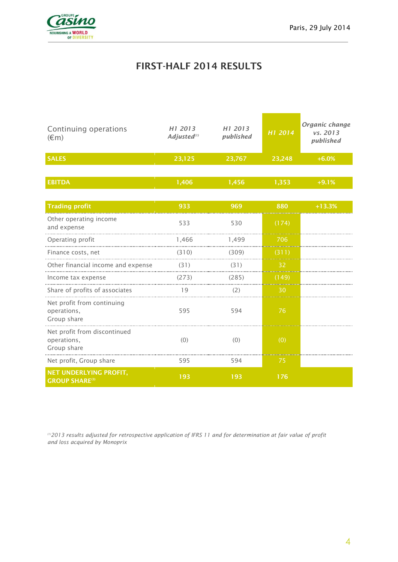

### **FIRST-HALF 2014 RESULTS**

| Continuing operations<br>$(\epsilon m)$                    | H <sub>1</sub> 2013<br>Adjusted <sup>(1)</sup> | H1 2013<br>published | H1 2014 | Organic change<br>vs. 2013<br>published |
|------------------------------------------------------------|------------------------------------------------|----------------------|---------|-----------------------------------------|
| <b>SALES</b>                                               | 23,125                                         | 23,767               | 23,248  | $+6.0%$                                 |
|                                                            |                                                |                      |         |                                         |
| <b>EBITDA</b>                                              | 1,406                                          | 1,456                | 1,353   | $+9.1%$                                 |
|                                                            |                                                |                      |         |                                         |
| <b>Trading profit</b>                                      | 933                                            | 969                  | 880     | $+13.3%$                                |
| Other operating income<br>and expense                      | 533                                            | 530                  | (174)   |                                         |
| Operating profit                                           | 1,466                                          | 1,499                | 706     |                                         |
| Finance costs, net                                         | (310)                                          | (309)                | (311)   |                                         |
| Other financial income and expense                         | (31)                                           | (31)                 | 32      |                                         |
| Income tax expense                                         | (273)                                          | (285)                | (149)   |                                         |
| Share of profits of associates                             | 19                                             | (2)                  | 30      |                                         |
| Net profit from continuing<br>operations,<br>Group share   | 595                                            | 594                  | 76      |                                         |
| Net profit from discontinued<br>operations,<br>Group share | (0)                                            | (0)                  | (0)     |                                         |
| Net profit, Group share                                    | 595                                            | 594                  | 75      |                                         |
| <b>NET UNDERLYING PROFIT,</b><br><b>GROUP SHARE(3)</b>     | 193                                            | 193                  | 176     |                                         |

*(1)2013 results adjusted for retrospective application of IFRS 11 and for determination at fair value of profit and loss acquired by Monoprix*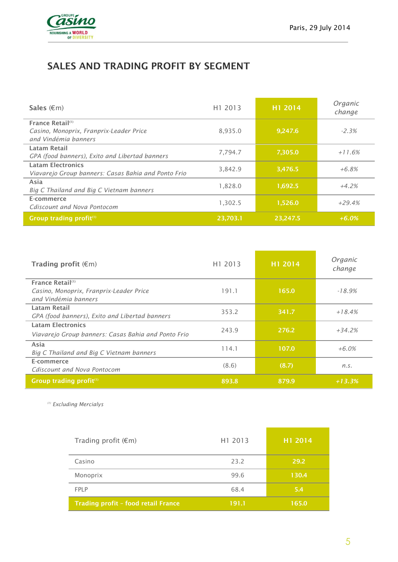

## **SALES AND TRADING PROFIT BY SEGMENT**

| Sales $(\epsilon m)$                                                                            | H1 2013  | H1 2014  | Organic<br>change |
|-------------------------------------------------------------------------------------------------|----------|----------|-------------------|
| France Retail <sup>(1)</sup><br>Casino, Monoprix, Franprix-Leader Price<br>and Vindémia banners | 8,935.0  | 9,247.6  | $-2.3%$           |
| Latam Retail<br>GPA (food banners), Exito and Libertad banners                                  | 7,794.7  | 7,305.0  | $+11.6%$          |
| <b>Latam Electronics</b><br>Viavarejo Group banners: Casas Bahia and Ponto Frio                 | 3,842.9  | 3,476.5  | $+6.8%$           |
| Asia<br>Big C Thailand and Big C Vietnam banners                                                | 1,828.0  | 1,692.5  | $+4.2%$           |
| E-commerce<br>Cdiscount and Nova Pontocom                                                       | 1,302.5  | 1,526.0  | $+29.4%$          |
| Group trading profit <sup>(1)</sup>                                                             | 23,703.1 | 23,247.5 | $+6.0%$           |

| Trading profit $(\epsilon m)$                                   | H1 2013 | H1 2014 | Organic<br>change |
|-----------------------------------------------------------------|---------|---------|-------------------|
| France Retail <sup>(1)</sup>                                    |         |         |                   |
| Casino, Monoprix, Franprix-Leader Price<br>and Vindémia banners | 191.1   | 165.0   | $-18.9%$          |
| Latam Retail                                                    | 353.2   | 341.7   | $+18.4%$          |
| GPA (food banners), Exito and Libertad banners                  |         |         |                   |
| <b>Latam Electronics</b>                                        |         |         |                   |
| Viavarejo Group banners: Casas Bahia and Ponto Frio             | 243.9   | 276.2   | $+34.2%$          |
| Asia                                                            | 114.1   | 107.0   | $+6.0%$           |
| Big C Thailand and Big C Vietnam banners                        |         |         |                   |
| E-commerce                                                      | (8.6)   | (8.7)   | n.S.              |
| Cdiscount and Nova Pontocom                                     |         |         |                   |
| Group trading profit <sup>(1)</sup>                             | 893.8   | 879.9   | $+13.3%$          |

*(1) Excluding Mercialys*

| Trading profit $(\epsilon m)$       | H1 2013 | H1 2014 |
|-------------------------------------|---------|---------|
| Casino                              | 23.2    | 29.2    |
| Monoprix                            | 99.6    | 130.4   |
| FPI P                               | 68.4    | 5.4     |
| Trading profit - food retail France | 191.1   | 165.0   |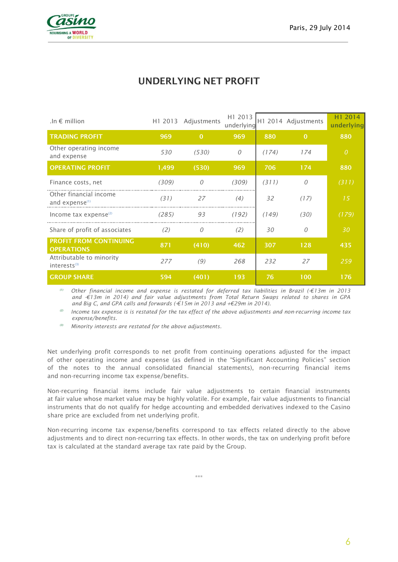

### **UNDERLYING NET PROFIT**

| .In $\epsilon$ million                               | H1 2013 | Adjustments | H1 2013<br>underlying |       | H1 2014 Adjustments | H1 2014<br>underlying |
|------------------------------------------------------|---------|-------------|-----------------------|-------|---------------------|-----------------------|
| <b>TRADING PROFIT</b>                                | 969     | $\Omega$    | 969                   | 880   | $\Omega$            | 880                   |
| Other operating income<br>and expense                | 530     | (530)       | $\Omega$              | (174) | 174                 | $\overline{O}$        |
| <b>OPERATING PROFIT</b>                              | 1,499   | (530)       | 969                   | 706   | 174                 | 880                   |
| Finance costs, net                                   | (309)   | 0           | (309)                 | (311) |                     | (311)                 |
| Other financial income<br>and expense <sup>(1)</sup> | (31)    | 27          | (4)                   | 32    | (17)                | 15                    |
| Income tax expense $(2)$                             | (285)   | 93          | (192)                 | (149) | (30)                | (179)                 |
| Share of profit of associates                        | (2)     | 0           | (2)                   | 30    |                     | 30                    |
| <b>PROFIT FROM CONTINUING</b><br><b>OPERATIONS</b>   | 871     | (410)       | 462                   | 307   | 128                 | 435                   |
| Attributable to minority<br>$interests^{(3)}$        | 277     | (9)         | 268                   | 232   | 27                  | 259                   |
| <b>GROUP SHARE</b>                                   | 594     | (401)       | 193                   | 76    | 100                 | 176                   |

*(1) Other financial income and expense is restated for deferred tax liabilities in Brazil (-€13m in 2013 and -€13m in 2014) and fair value adjustments from Total Return Swaps related to shares in GPA and Big C, and GPA calls and forwards (-€15m in 2013 and +€29m in 2014).*

*(2) Income tax expense is is restated for the tax effect of the above adjustments and non-recurring income tax expense/benefits.* 

*(3) Minority interests are restated for the above adjustments.*

Net underlying profit corresponds to net profit from continuing operations adjusted for the impact of other operating income and expense (as defined in the "Significant Accounting Policies" section of the notes to the annual consolidated financial statements), non-recurring financial items and non-recurring income tax expense/benefits.

Non-recurring financial items include fair value adjustments to certain financial instruments at fair value whose market value may be highly volatile. For example, fair value adjustments to financial instruments that do not qualify for hedge accounting and embedded derivatives indexed to the Casino share price are excluded from net underlying profit.

Non-recurring income tax expense/benefits correspond to tax effects related directly to the above adjustments and to direct non-recurring tax effects. In other words, the tax on underlying profit before tax is calculated at the standard average tax rate paid by the Group.